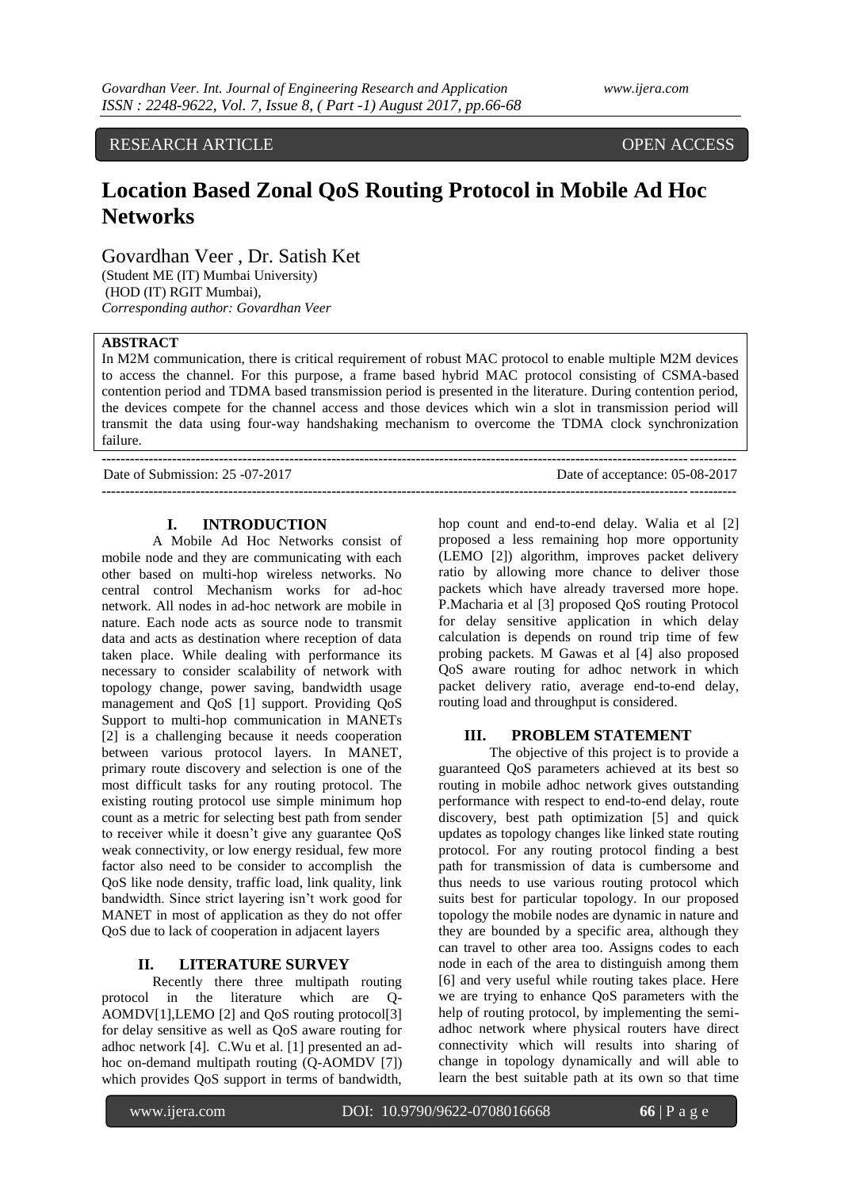RESEARCH ARTICLE OPEN ACCESS

# **Location Based Zonal QoS Routing Protocol in Mobile Ad Hoc Networks**

Govardhan Veer , Dr. Satish Ket

(Student ME (IT) Mumbai University) (HOD (IT) RGIT Mumbai), *Corresponding author: Govardhan Veer*

### **ABSTRACT**

In M2M communication, there is critical requirement of robust MAC protocol to enable multiple M2M devices to access the channel. For this purpose, a frame based hybrid MAC protocol consisting of CSMA-based contention period and TDMA based transmission period is presented in the literature. During contention period, the devices compete for the channel access and those devices which win a slot in transmission period will transmit the data using four-way handshaking mechanism to overcome the TDMA clock synchronization failure.

**---------------------------------------------------------------------------------------------------------------------------------------**

Date of Submission: 25 -07-2017 Date of acceptance: 05-08-2017 **---------------------------------------------------------------------------------------------------------------------------------------**

# **I. INTRODUCTION**

A Mobile Ad Hoc Networks consist of mobile node and they are communicating with each other based on multi-hop wireless networks. No central control Mechanism works for ad-hoc network. All nodes in ad-hoc network are mobile in nature. Each node acts as source node to transmit data and acts as destination where reception of data taken place. While dealing with performance its necessary to consider scalability of network with topology change, power saving, bandwidth usage management and QoS [1] support. Providing QoS Support to multi-hop communication in MANETs [2] is a challenging because it needs cooperation between various protocol layers. In MANET, primary route discovery and selection is one of the most difficult tasks for any routing protocol. The existing routing protocol use simple minimum hop count as a metric for selecting best path from sender to receiver while it doesn't give any guarantee QoS weak connectivity, or low energy residual, few more factor also need to be consider to accomplish the QoS like node density, traffic load, link quality, link bandwidth. Since strict layering isn't work good for MANET in most of application as they do not offer QoS due to lack of cooperation in adjacent layers

# **II. LITERATURE SURVEY**

Recently there three multipath routing protocol in the literature which are Q-AOMDV[1],LEMO [2] and QoS routing protocol[3] for delay sensitive as well as QoS aware routing for adhoc network [4]. C.Wu et al. [1] presented an adhoc on-demand multipath routing (Q-AOMDV [7]) which provides QoS support in terms of bandwidth,

hop count and end-to-end delay. Walia et al [2] proposed a less remaining hop more opportunity (LEMO [2]) algorithm, improves packet delivery ratio by allowing more chance to deliver those packets which have already traversed more hope. P.Macharia et al [3] proposed QoS routing Protocol for delay sensitive application in which delay calculation is depends on round trip time of few probing packets. M Gawas et al [4] also proposed QoS aware routing for adhoc network in which packet delivery ratio, average end-to-end delay, routing load and throughput is considered.

## **III. PROBLEM STATEMENT**

The objective of this project is to provide a guaranteed QoS parameters achieved at its best so routing in mobile adhoc network gives outstanding performance with respect to end-to-end delay, route discovery, best path optimization [5] and quick updates as topology changes like linked state routing protocol. For any routing protocol finding a best path for transmission of data is cumbersome and thus needs to use various routing protocol which suits best for particular topology. In our proposed topology the mobile nodes are dynamic in nature and they are bounded by a specific area, although they can travel to other area too. Assigns codes to each node in each of the area to distinguish among them [6] and very useful while routing takes place. Here we are trying to enhance QoS parameters with the help of routing protocol, by implementing the semiadhoc network where physical routers have direct connectivity which will results into sharing of change in topology dynamically and will able to learn the best suitable path at its own so that time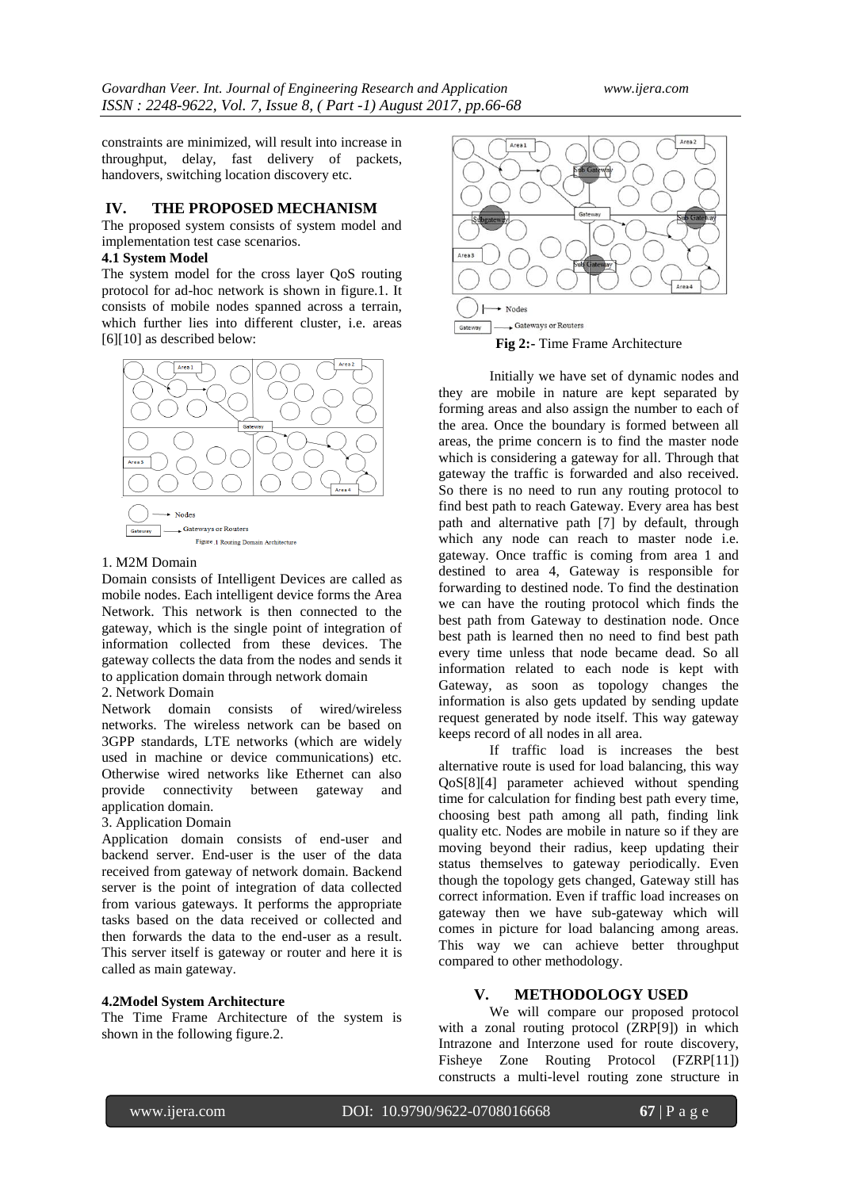constraints are minimized, will result into increase in throughput, delay, fast delivery of packets, handovers, switching location discovery etc.

#### **IV. THE PROPOSED MECHANISM**

The proposed system consists of system model and implementation test case scenarios.

#### **4.1 System Model**

The system model for the cross layer QoS routing protocol for ad-hoc network is shown in figure.1. It consists of mobile nodes spanned across a terrain, which further lies into different cluster, i.e. areas [6][10] as described below:



#### 1. M2M Domain

Domain consists of Intelligent Devices are called as mobile nodes. Each intelligent device forms the Area Network. This network is then connected to the gateway, which is the single point of integration of information collected from these devices. The gateway collects the data from the nodes and sends it to application domain through network domain

#### 2. Network Domain

Network domain consists of wired/wireless networks. The wireless network can be based on 3GPP standards, LTE networks (which are widely used in machine or device communications) etc. Otherwise wired networks like Ethernet can also provide connectivity between gateway and application domain.

## 3. Application Domain

Application domain consists of end-user and backend server. End-user is the user of the data received from gateway of network domain. Backend server is the point of integration of data collected from various gateways. It performs the appropriate tasks based on the data received or collected and then forwards the data to the end-user as a result. This server itself is gateway or router and here it is called as main gateway.

#### **4.2Model System Architecture**

The Time Frame Architecture of the system is shown in the following figure.2.



Initially we have set of dynamic nodes and they are mobile in nature are kept separated by forming areas and also assign the number to each of the area. Once the boundary is formed between all areas, the prime concern is to find the master node which is considering a gateway for all. Through that gateway the traffic is forwarded and also received. So there is no need to run any routing protocol to find best path to reach Gateway. Every area has best path and alternative path [7] by default, through which any node can reach to master node i.e. gateway. Once traffic is coming from area 1 and destined to area 4, Gateway is responsible for forwarding to destined node. To find the destination we can have the routing protocol which finds the best path from Gateway to destination node. Once best path is learned then no need to find best path every time unless that node became dead. So all information related to each node is kept with Gateway, as soon as topology changes the information is also gets updated by sending update request generated by node itself. This way gateway keeps record of all nodes in all area.

If traffic load is increases the best alternative route is used for load balancing, this way QoS[8][4] parameter achieved without spending time for calculation for finding best path every time, choosing best path among all path, finding link quality etc. Nodes are mobile in nature so if they are moving beyond their radius, keep updating their status themselves to gateway periodically. Even though the topology gets changed, Gateway still has correct information. Even if traffic load increases on gateway then we have sub-gateway which will comes in picture for load balancing among areas. This way we can achieve better throughput compared to other methodology.

## **V. METHODOLOGY USED**

We will compare our proposed protocol with a zonal routing protocol (ZRP[9]) in which Intrazone and Interzone used for route discovery, Fisheye Zone Routing Protocol (FZRP[11]) constructs a multi-level routing zone structure in